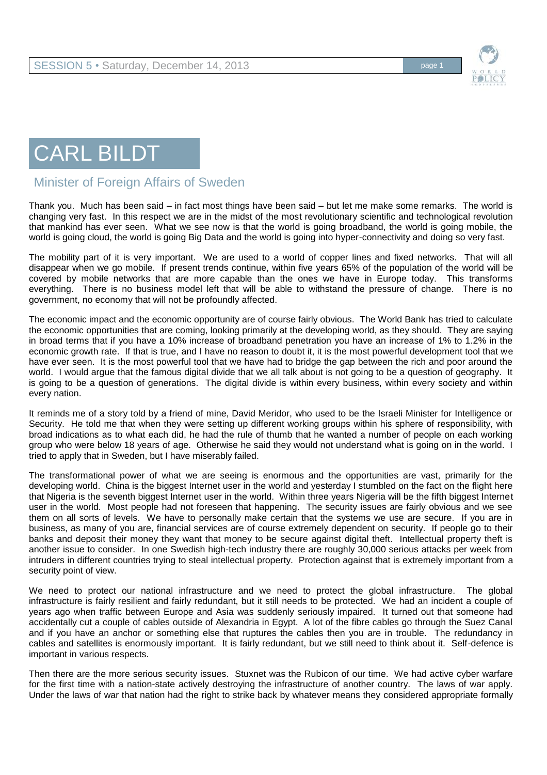



## CARL BILDT

## Minister of Foreign Affairs of Sweden

Thank you. Much has been said – in fact most things have been said – but let me make some remarks. The world is changing very fast. In this respect we are in the midst of the most revolutionary scientific and technological revolution that mankind has ever seen. What we see now is that the world is going broadband, the world is going mobile, the world is going cloud, the world is going Big Data and the world is going into hyper-connectivity and doing so very fast.

The mobility part of it is very important. We are used to a world of copper lines and fixed networks. That will all disappear when we go mobile. If present trends continue, within five years 65% of the population of the world will be covered by mobile networks that are more capable than the ones we have in Europe today. This transforms everything. There is no business model left that will be able to withstand the pressure of change. There is no government, no economy that will not be profoundly affected.

The economic impact and the economic opportunity are of course fairly obvious. The World Bank has tried to calculate the economic opportunities that are coming, looking primarily at the developing world, as they should. They are saying in broad terms that if you have a 10% increase of broadband penetration you have an increase of 1% to 1.2% in the economic growth rate. If that is true, and I have no reason to doubt it, it is the most powerful development tool that we have ever seen. It is the most powerful tool that we have had to bridge the gap between the rich and poor around the world. I would argue that the famous digital divide that we all talk about is not going to be a question of geography. It is going to be a question of generations. The digital divide is within every business, within every society and within every nation.

It reminds me of a story told by a friend of mine, David Meridor, who used to be the Israeli Minister for Intelligence or Security. He told me that when they were setting up different working groups within his sphere of responsibility, with broad indications as to what each did, he had the rule of thumb that he wanted a number of people on each working group who were below 18 years of age. Otherwise he said they would not understand what is going on in the world. I tried to apply that in Sweden, but I have miserably failed.

The transformational power of what we are seeing is enormous and the opportunities are vast, primarily for the developing world. China is the biggest Internet user in the world and yesterday I stumbled on the fact on the flight here that Nigeria is the seventh biggest Internet user in the world. Within three years Nigeria will be the fifth biggest Internet user in the world. Most people had not foreseen that happening. The security issues are fairly obvious and we see them on all sorts of levels. We have to personally make certain that the systems we use are secure. If you are in business, as many of you are, financial services are of course extremely dependent on security. If people go to their banks and deposit their money they want that money to be secure against digital theft. Intellectual property theft is another issue to consider. In one Swedish high-tech industry there are roughly 30,000 serious attacks per week from intruders in different countries trying to steal intellectual property. Protection against that is extremely important from a security point of view.

We need to protect our national infrastructure and we need to protect the global infrastructure. The global infrastructure is fairly resilient and fairly redundant, but it still needs to be protected. We had an incident a couple of years ago when traffic between Europe and Asia was suddenly seriously impaired. It turned out that someone had accidentally cut a couple of cables outside of Alexandria in Egypt. A lot of the fibre cables go through the Suez Canal and if you have an anchor or something else that ruptures the cables then you are in trouble. The redundancy in cables and satellites is enormously important. It is fairly redundant, but we still need to think about it. Self-defence is important in various respects.

Then there are the more serious security issues. Stuxnet was the Rubicon of our time. We had active cyber warfare for the first time with a nation-state actively destroying the infrastructure of another country. The laws of war apply. Under the laws of war that nation had the right to strike back by whatever means they considered appropriate formally